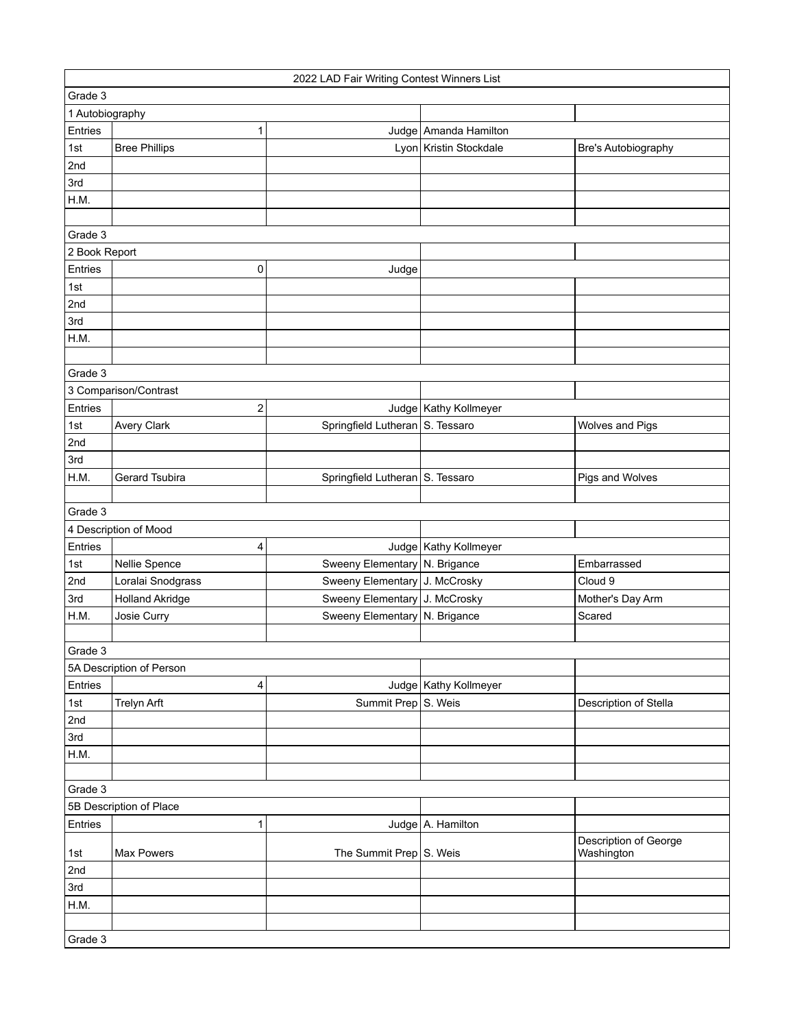| 2022 LAD Fair Writing Contest Winners List |                          |                                 |                         |                        |  |
|--------------------------------------------|--------------------------|---------------------------------|-------------------------|------------------------|--|
| Grade 3                                    |                          |                                 |                         |                        |  |
| 1 Autobiography                            |                          |                                 |                         |                        |  |
| Entries                                    | 1                        |                                 | Judge Amanda Hamilton   |                        |  |
| 1st                                        | <b>Bree Phillips</b>     |                                 | Lyon Kristin Stockdale  | Bre's Autobiography    |  |
| 2nd                                        |                          |                                 |                         |                        |  |
| 3rd                                        |                          |                                 |                         |                        |  |
| H.M.                                       |                          |                                 |                         |                        |  |
|                                            |                          |                                 |                         |                        |  |
| Grade 3                                    |                          |                                 |                         |                        |  |
| 2 Book Report                              |                          |                                 |                         |                        |  |
| Entries                                    | 0                        | Judge                           |                         |                        |  |
| 1st                                        |                          |                                 |                         |                        |  |
| 2nd                                        |                          |                                 |                         |                        |  |
| 3rd                                        |                          |                                 |                         |                        |  |
| H.M.                                       |                          |                                 |                         |                        |  |
|                                            |                          |                                 |                         |                        |  |
| Grade 3                                    |                          |                                 |                         |                        |  |
| 3 Comparison/Contrast                      |                          |                                 |                         |                        |  |
| Entries                                    | $\overline{c}$           |                                 | Judge   Kathy Kollmeyer |                        |  |
| 1st                                        | <b>Avery Clark</b>       | Springfield Lutheran S. Tessaro |                         | <b>Wolves and Pigs</b> |  |
| 2nd                                        |                          |                                 |                         |                        |  |
| 3rd                                        |                          |                                 |                         |                        |  |
| H.M.                                       | Gerard Tsubira           | Springfield Lutheran S. Tessaro |                         | Pigs and Wolves        |  |
|                                            |                          |                                 |                         |                        |  |
| Grade 3                                    |                          |                                 |                         |                        |  |
|                                            | 4 Description of Mood    |                                 |                         |                        |  |
| Entries                                    | 4                        |                                 | Judge   Kathy Kollmeyer |                        |  |
| 1st                                        | Nellie Spence            | Sweeny Elementary   N. Brigance |                         | Embarrassed            |  |
| 2nd                                        | Loralai Snodgrass        | Sweeny Elementary J. McCrosky   |                         | Cloud 9                |  |
| 3rd                                        | <b>Holland Akridge</b>   | Sweeny Elementary J. McCrosky   |                         | Mother's Day Arm       |  |
| H.M.                                       | Josie Curry              | Sweeny Elementary   N. Brigance |                         | Scared                 |  |
|                                            |                          |                                 |                         |                        |  |
| Grade 3                                    |                          |                                 |                         |                        |  |
|                                            | 5A Description of Person |                                 |                         |                        |  |
| Entries                                    | 4                        |                                 | Judge   Kathy Kollmeyer |                        |  |
| 1st                                        | <b>Trelyn Arft</b>       | Summit Prep S. Weis             |                         | Description of Stella  |  |
| 2nd                                        |                          |                                 |                         |                        |  |
| 3rd                                        |                          |                                 |                         |                        |  |
| H.M.                                       |                          |                                 |                         |                        |  |
|                                            |                          |                                 |                         |                        |  |
| Grade 3                                    |                          |                                 |                         |                        |  |
|                                            | 5B Description of Place  |                                 |                         |                        |  |
| Entries                                    | $\mathbf{1}$             |                                 | Judge   A. Hamilton     |                        |  |
|                                            |                          |                                 |                         | Description of George  |  |
| 1st                                        | <b>Max Powers</b>        | The Summit Prep S. Weis         |                         | Washington             |  |
| 2nd                                        |                          |                                 |                         |                        |  |
| 3rd                                        |                          |                                 |                         |                        |  |
| H.M.                                       |                          |                                 |                         |                        |  |
|                                            |                          |                                 |                         |                        |  |
| Grade 3                                    |                          |                                 |                         |                        |  |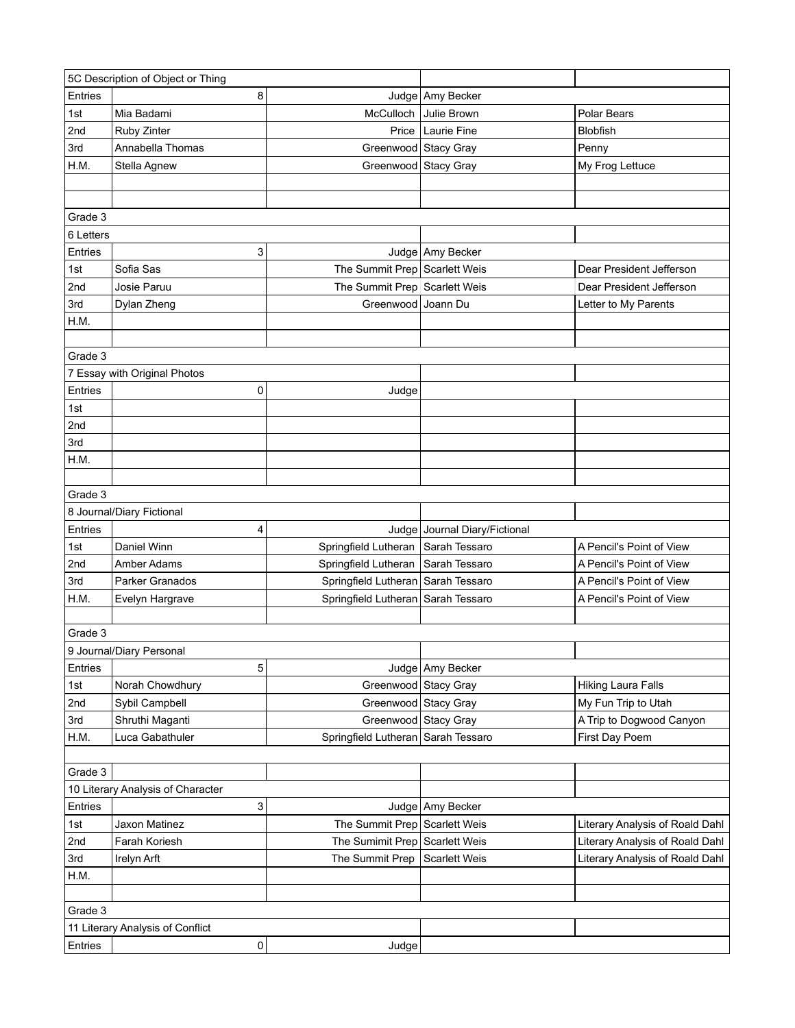| 5C Description of Object or Thing |                                   |                                      |                               |                                 |
|-----------------------------------|-----------------------------------|--------------------------------------|-------------------------------|---------------------------------|
| Entries                           | 8                                 |                                      | Judge Amy Becker              |                                 |
| 1st                               | Mia Badami                        |                                      | McCulloch Julie Brown         | Polar Bears                     |
| 2nd                               | Ruby Zinter                       |                                      | Price   Laurie Fine           | Blobfish                        |
| 3rd                               | Annabella Thomas                  | Greenwood Stacy Gray                 |                               | Penny                           |
| H.M.                              | Stella Agnew                      | Greenwood Stacy Gray                 |                               | My Frog Lettuce                 |
|                                   |                                   |                                      |                               |                                 |
|                                   |                                   |                                      |                               |                                 |
| Grade 3                           |                                   |                                      |                               |                                 |
| 6 Letters                         |                                   |                                      |                               |                                 |
| Entries                           | 3                                 |                                      | Judge Amy Becker              |                                 |
| 1st                               | Sofia Sas                         | The Summit Prep Scarlett Weis        |                               | Dear President Jefferson        |
| 2nd                               | Josie Paruu                       | The Summit Prep Scarlett Weis        |                               | Dear President Jefferson        |
| 3rd                               | Dylan Zheng                       | Greenwood Joann Du                   |                               | Letter to My Parents            |
| H.M.                              |                                   |                                      |                               |                                 |
|                                   |                                   |                                      |                               |                                 |
| Grade 3                           |                                   |                                      |                               |                                 |
|                                   | 7 Essay with Original Photos      |                                      |                               |                                 |
| Entries                           | 0                                 | Judge                                |                               |                                 |
| 1st                               |                                   |                                      |                               |                                 |
| 2nd                               |                                   |                                      |                               |                                 |
| 3rd                               |                                   |                                      |                               |                                 |
| H.M.                              |                                   |                                      |                               |                                 |
|                                   |                                   |                                      |                               |                                 |
| Grade 3                           |                                   |                                      |                               |                                 |
|                                   | 8 Journal/Diary Fictional         |                                      |                               |                                 |
| Entries                           | 4                                 |                                      | Judge Journal Diary/Fictional |                                 |
| 1st                               | Daniel Winn                       | Springfield Lutheran   Sarah Tessaro |                               | A Pencil's Point of View        |
| 2nd                               | Amber Adams                       | Springfield Lutheran Sarah Tessaro   |                               | A Pencil's Point of View        |
| 3rd                               | Parker Granados                   | Springfield Lutheran Sarah Tessaro   |                               | A Pencil's Point of View        |
| H.M.                              | Evelyn Hargrave                   | Springfield Lutheran   Sarah Tessaro |                               | A Pencil's Point of View        |
|                                   |                                   |                                      |                               |                                 |
| Grade 3                           |                                   |                                      |                               |                                 |
|                                   | 9 Journal/Diary Personal          |                                      |                               |                                 |
| Entries                           | 5                                 |                                      | Judge Amy Becker              |                                 |
| 1st                               | Norah Chowdhury                   | Greenwood Stacy Gray                 |                               | <b>Hiking Laura Falls</b>       |
| 2nd                               | Sybil Campbell                    | Greenwood Stacy Gray                 |                               | My Fun Trip to Utah             |
| 3rd                               | Shruthi Maganti                   | Greenwood Stacy Gray                 |                               | A Trip to Dogwood Canyon        |
| H.M.                              | Luca Gabathuler                   | Springfield Lutheran   Sarah Tessaro |                               | First Day Poem                  |
|                                   |                                   |                                      |                               |                                 |
| Grade 3                           |                                   |                                      |                               |                                 |
|                                   | 10 Literary Analysis of Character |                                      |                               |                                 |
| Entries                           | 3                                 |                                      | Judge Amy Becker              |                                 |
| 1st                               | Jaxon Matinez                     | The Summit Prep Scarlett Weis        |                               | Literary Analysis of Roald Dahl |
| 2nd                               | Farah Koriesh                     | The Sumimit Prep Scarlett Weis       |                               | Literary Analysis of Roald Dahl |
| 3rd                               |                                   | The Summit Prep Scarlett Weis        |                               | Literary Analysis of Roald Dahl |
|                                   | Irelyn Arft                       |                                      |                               |                                 |
| H.M.                              |                                   |                                      |                               |                                 |
|                                   |                                   |                                      |                               |                                 |
| Grade 3                           |                                   |                                      |                               |                                 |
|                                   | 11 Literary Analysis of Conflict  |                                      |                               |                                 |
| Entries                           | $\pmb{0}$                         | Judge                                |                               |                                 |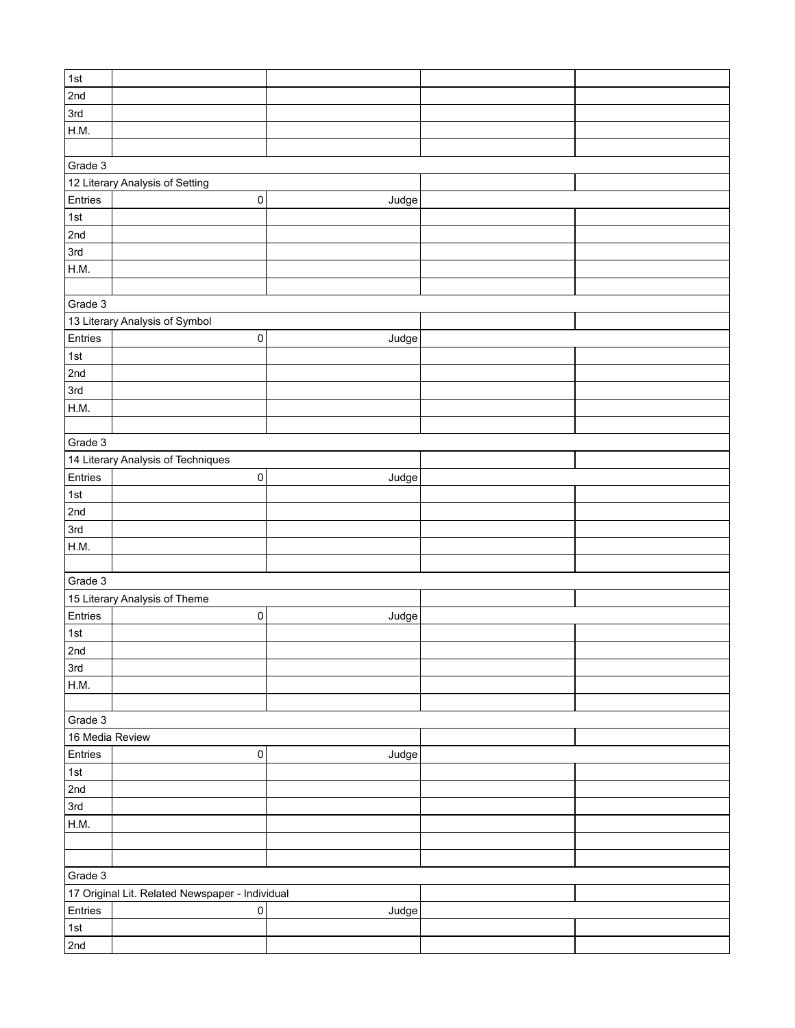| $\vert$ 1st     |                                                 |       |  |
|-----------------|-------------------------------------------------|-------|--|
|                 |                                                 |       |  |
| 2nd             |                                                 |       |  |
| 3rd             |                                                 |       |  |
| H.M.            |                                                 |       |  |
|                 |                                                 |       |  |
|                 |                                                 |       |  |
| Grade 3         |                                                 |       |  |
|                 | 12 Literary Analysis of Setting                 |       |  |
| Entries         | $\pmb{0}$                                       | Judge |  |
| $\vert$ 1st     |                                                 |       |  |
| 2nd             |                                                 |       |  |
| 3rd             |                                                 |       |  |
|                 |                                                 |       |  |
| H.M.            |                                                 |       |  |
|                 |                                                 |       |  |
| Grade 3         |                                                 |       |  |
|                 | 13 Literary Analysis of Symbol                  |       |  |
| Entries         | $\pmb{0}$                                       | Judge |  |
|                 |                                                 |       |  |
| $\vert$ 1st     |                                                 |       |  |
| 2nd             |                                                 |       |  |
| 3rd             |                                                 |       |  |
| H.M.            |                                                 |       |  |
|                 |                                                 |       |  |
| Grade 3         |                                                 |       |  |
|                 |                                                 |       |  |
|                 | 14 Literary Analysis of Techniques              |       |  |
| Entries         | $\pmb{0}$                                       | Judge |  |
| 1st             |                                                 |       |  |
| 2nd             |                                                 |       |  |
| 3rd             |                                                 |       |  |
| H.M.            |                                                 |       |  |
|                 |                                                 |       |  |
|                 |                                                 |       |  |
| Grade 3         |                                                 |       |  |
|                 | 15 Literary Analysis of Theme                   |       |  |
| Entries         | 0                                               | Judge |  |
| 1st             |                                                 |       |  |
| 2nd             |                                                 |       |  |
| 3rd             |                                                 |       |  |
|                 |                                                 |       |  |
| H.M.            |                                                 |       |  |
|                 |                                                 |       |  |
| Grade 3         |                                                 |       |  |
| 16 Media Review |                                                 |       |  |
| Entries         | $\pmb{0}$                                       | Judge |  |
| 1st             |                                                 |       |  |
| 2nd             |                                                 |       |  |
|                 |                                                 |       |  |
| 3rd             |                                                 |       |  |
| H.M.            |                                                 |       |  |
|                 |                                                 |       |  |
|                 |                                                 |       |  |
| Grade 3         |                                                 |       |  |
|                 | 17 Original Lit. Related Newspaper - Individual |       |  |
|                 |                                                 |       |  |
| Entries         | 0                                               | Judge |  |
| 1st             |                                                 |       |  |
| 2nd             |                                                 |       |  |
|                 |                                                 |       |  |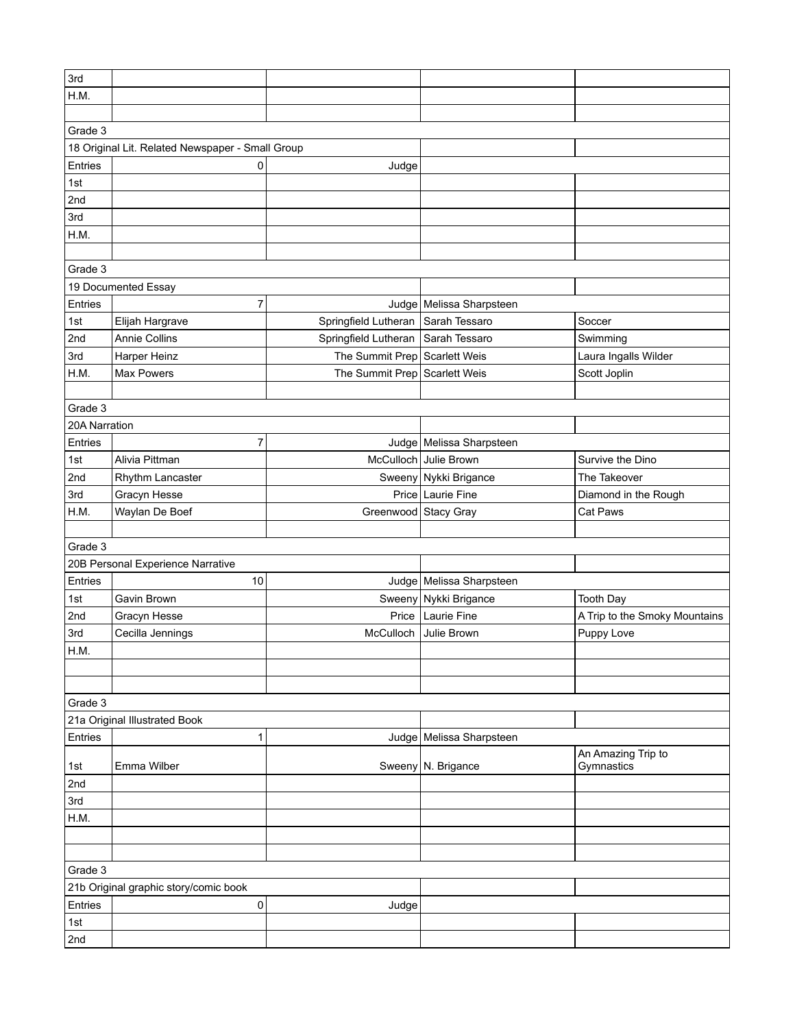| 3rd           |                                                  |                                      |                            |                                  |
|---------------|--------------------------------------------------|--------------------------------------|----------------------------|----------------------------------|
| H.M.          |                                                  |                                      |                            |                                  |
|               |                                                  |                                      |                            |                                  |
| Grade 3       |                                                  |                                      |                            |                                  |
|               | 18 Original Lit. Related Newspaper - Small Group |                                      |                            |                                  |
| Entries       | 0                                                | Judge                                |                            |                                  |
| 1st           |                                                  |                                      |                            |                                  |
| 2nd           |                                                  |                                      |                            |                                  |
| 3rd           |                                                  |                                      |                            |                                  |
| H.M.          |                                                  |                                      |                            |                                  |
|               |                                                  |                                      |                            |                                  |
| Grade 3       |                                                  |                                      |                            |                                  |
|               | 19 Documented Essay                              |                                      |                            |                                  |
| Entries       | 7                                                |                                      | Judge   Melissa Sharpsteen |                                  |
| 1st           | Elijah Hargrave                                  | Springfield Lutheran   Sarah Tessaro |                            | Soccer                           |
| 2nd           | Annie Collins                                    | Springfield Lutheran   Sarah Tessaro |                            |                                  |
| 3rd           |                                                  | The Summit Prep Scarlett Weis        |                            | Swimming                         |
|               | Harper Heinz                                     |                                      |                            | Laura Ingalls Wilder             |
| H.M.          | <b>Max Powers</b>                                | The Summit Prep Scarlett Weis        |                            | Scott Joplin                     |
|               |                                                  |                                      |                            |                                  |
| Grade 3       |                                                  |                                      |                            |                                  |
| 20A Narration |                                                  |                                      |                            |                                  |
| Entries       | 7                                                |                                      | Judge   Melissa Sharpsteen |                                  |
| 1st           | Alivia Pittman                                   |                                      | McCulloch Julie Brown      | Survive the Dino                 |
| 2nd           | Rhythm Lancaster                                 |                                      | Sweeny Nykki Brigance      | The Takeover                     |
| 3rd           | Gracyn Hesse                                     |                                      | Price   Laurie Fine        | Diamond in the Rough             |
| H.M.          | Waylan De Boef                                   | Greenwood Stacy Gray                 |                            | Cat Paws                         |
|               |                                                  |                                      |                            |                                  |
| Grade 3       |                                                  |                                      |                            |                                  |
|               | 20B Personal Experience Narrative                |                                      |                            |                                  |
| Entries       | 10                                               |                                      | Judge   Melissa Sharpsteen |                                  |
| 1st           | Gavin Brown                                      |                                      | Sweeny Nykki Brigance      | <b>Tooth Day</b>                 |
| 2nd           | Gracyn Hesse                                     |                                      | Price   Laurie Fine        | A Trip to the Smoky Mountains    |
| 3rd           | Cecilla Jennings                                 |                                      | McCulloch Julie Brown      | Puppy Love                       |
| H.M.          |                                                  |                                      |                            |                                  |
|               |                                                  |                                      |                            |                                  |
|               |                                                  |                                      |                            |                                  |
| Grade 3       |                                                  |                                      |                            |                                  |
|               | 21a Original Illustrated Book                    |                                      |                            |                                  |
| Entries       | 1                                                |                                      | Judge   Melissa Sharpsteen |                                  |
|               |                                                  |                                      |                            |                                  |
| 1st           | Emma Wilber                                      |                                      | Sweeny N. Brigance         | An Amazing Trip to<br>Gymnastics |
| 2nd           |                                                  |                                      |                            |                                  |
| 3rd           |                                                  |                                      |                            |                                  |
| H.M.          |                                                  |                                      |                            |                                  |
|               |                                                  |                                      |                            |                                  |
|               |                                                  |                                      |                            |                                  |
|               |                                                  |                                      |                            |                                  |
| Grade 3       |                                                  |                                      |                            |                                  |
|               | 21b Original graphic story/comic book            |                                      |                            |                                  |
| Entries       | 0                                                | Judge                                |                            |                                  |
| 1st           |                                                  |                                      |                            |                                  |
| 2nd           |                                                  |                                      |                            |                                  |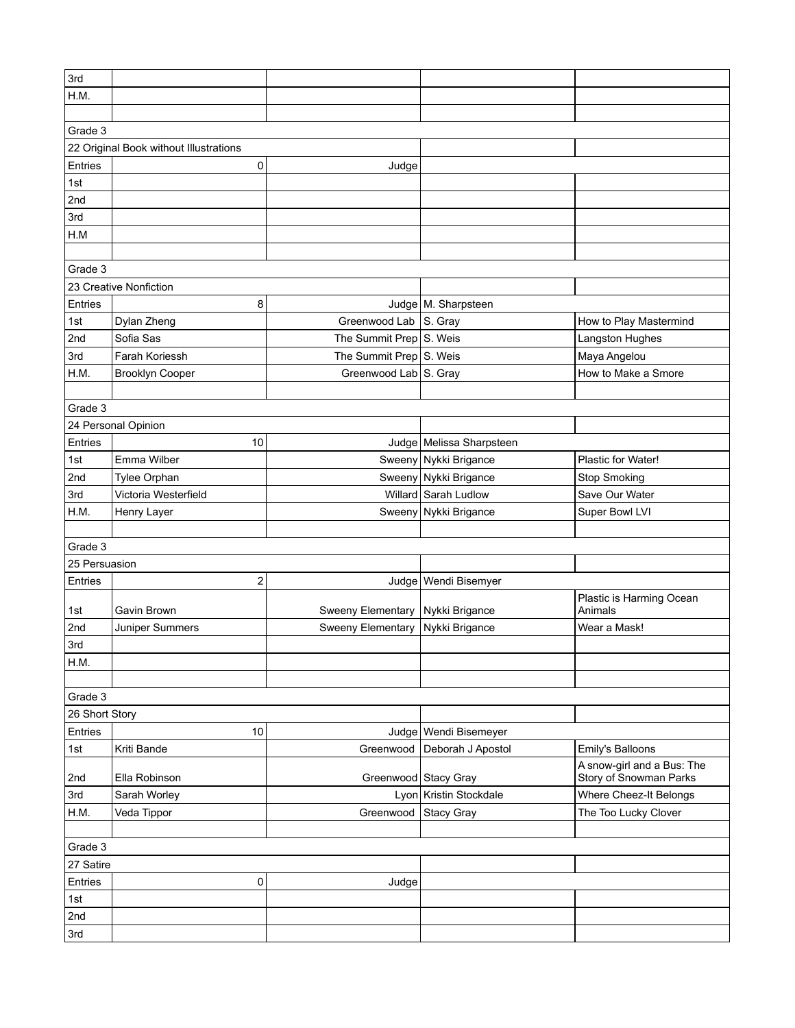| 3rd            |                                        |                         |                          |                                                      |
|----------------|----------------------------------------|-------------------------|--------------------------|------------------------------------------------------|
| H.M.           |                                        |                         |                          |                                                      |
|                |                                        |                         |                          |                                                      |
| Grade 3        |                                        |                         |                          |                                                      |
|                | 22 Original Book without Illustrations |                         |                          |                                                      |
| Entries        | 0                                      | Judge                   |                          |                                                      |
| 1st            |                                        |                         |                          |                                                      |
| 2nd            |                                        |                         |                          |                                                      |
| 3rd            |                                        |                         |                          |                                                      |
| H.M            |                                        |                         |                          |                                                      |
|                |                                        |                         |                          |                                                      |
| Grade 3        |                                        |                         |                          |                                                      |
|                | 23 Creative Nonfiction                 |                         |                          |                                                      |
| Entries        | 8                                      |                         | Judge   M. Sharpsteen    |                                                      |
| 1st            | Dylan Zheng                            | Greenwood Lab S. Gray   |                          | How to Play Mastermind                               |
| 2nd            | Sofia Sas                              | The Summit Prep S. Weis |                          | Langston Hughes                                      |
| 3rd            | Farah Koriessh                         | The Summit Prep S. Weis |                          | Maya Angelou                                         |
| H.M.           | <b>Brooklyn Cooper</b>                 | Greenwood Lab S. Gray   |                          | How to Make a Smore                                  |
|                |                                        |                         |                          |                                                      |
| Grade 3        |                                        |                         |                          |                                                      |
|                | 24 Personal Opinion                    |                         |                          |                                                      |
| Entries        | 10                                     |                         | Judge Melissa Sharpsteen |                                                      |
| 1st            | Emma Wilber                            |                         | Sweeny Nykki Brigance    | Plastic for Water!                                   |
| 2nd            | Tylee Orphan                           |                         | Sweeny Nykki Brigance    | <b>Stop Smoking</b>                                  |
| 3rd            | Victoria Westerfield                   |                         | Willard Sarah Ludlow     | Save Our Water                                       |
| H.M.           | Henry Layer                            |                         | Sweeny Nykki Brigance    | Super Bowl LVI                                       |
|                |                                        |                         |                          |                                                      |
| Grade 3        |                                        |                         |                          |                                                      |
| 25 Persuasion  |                                        |                         |                          |                                                      |
| Entries        | $\overline{\mathbf{c}}$                |                         | Judge   Wendi Bisemyer   |                                                      |
|                |                                        |                         |                          | Plastic is Harming Ocean                             |
| 1st            | Gavin Brown                            | Sweeny Elementary       | Nykki Brigance           | Animals                                              |
| 2nd            | Juniper Summers                        | Sweeny Elementary       | Nykki Brigance           | Wear a Mask!                                         |
| 3rd            |                                        |                         |                          |                                                      |
| H.M.           |                                        |                         |                          |                                                      |
|                |                                        |                         |                          |                                                      |
| Grade 3        |                                        |                         |                          |                                                      |
| 26 Short Story |                                        |                         |                          |                                                      |
| Entries        | 10                                     |                         | Judge   Wendi Bisemeyer  |                                                      |
| 1st            | Kriti Bande                            | Greenwood               | Deborah J Apostol        | Emily's Balloons                                     |
| 2nd            | Ella Robinson                          | Greenwood Stacy Gray    |                          | A snow-girl and a Bus: The<br>Story of Snowman Parks |
| 3rd            | Sarah Worley                           |                         | Lyon Kristin Stockdale   | Where Cheez-It Belongs                               |
| H.M.           | Veda Tippor                            | Greenwood               | <b>Stacy Gray</b>        | The Too Lucky Clover                                 |
|                |                                        |                         |                          |                                                      |
| Grade 3        |                                        |                         |                          |                                                      |
| 27 Satire      |                                        |                         |                          |                                                      |
| Entries        | 0                                      | Judge                   |                          |                                                      |
| 1st            |                                        |                         |                          |                                                      |
| 2nd            |                                        |                         |                          |                                                      |
| 3rd            |                                        |                         |                          |                                                      |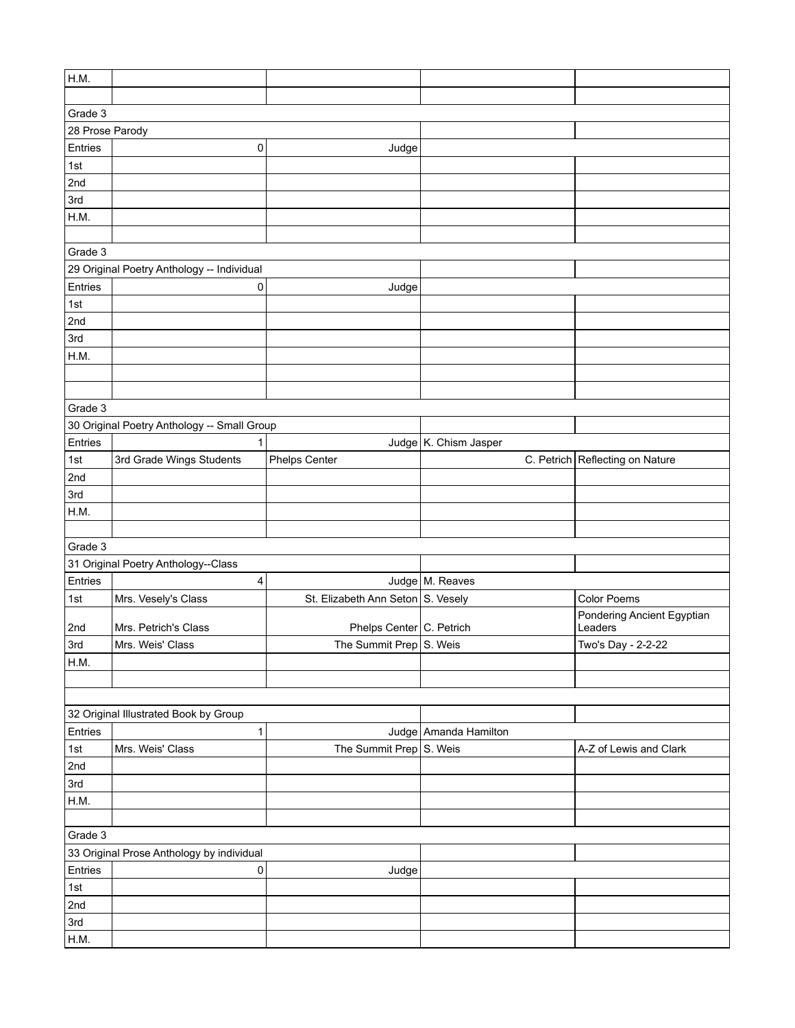| H.M.            |                                             |                                   |                       |                                       |
|-----------------|---------------------------------------------|-----------------------------------|-----------------------|---------------------------------------|
|                 |                                             |                                   |                       |                                       |
| Grade 3         |                                             |                                   |                       |                                       |
| 28 Prose Parody |                                             |                                   |                       |                                       |
| Entries         | 0                                           | Judge                             |                       |                                       |
| 1st             |                                             |                                   |                       |                                       |
| 2nd             |                                             |                                   |                       |                                       |
| 3rd             |                                             |                                   |                       |                                       |
| H.M.            |                                             |                                   |                       |                                       |
|                 |                                             |                                   |                       |                                       |
| Grade 3         |                                             |                                   |                       |                                       |
|                 | 29 Original Poetry Anthology -- Individual  |                                   |                       |                                       |
| Entries         | 0                                           | Judge                             |                       |                                       |
| 1st             |                                             |                                   |                       |                                       |
| 2nd             |                                             |                                   |                       |                                       |
| 3rd             |                                             |                                   |                       |                                       |
| H.M.            |                                             |                                   |                       |                                       |
|                 |                                             |                                   |                       |                                       |
|                 |                                             |                                   |                       |                                       |
| Grade 3         |                                             |                                   |                       |                                       |
|                 | 30 Original Poetry Anthology -- Small Group |                                   |                       |                                       |
| Entries         | 1                                           |                                   | Judge K. Chism Jasper |                                       |
| 1st             | 3rd Grade Wings Students                    | <b>Phelps Center</b>              |                       | C. Petrich Reflecting on Nature       |
| 2nd             |                                             |                                   |                       |                                       |
| 3rd             |                                             |                                   |                       |                                       |
| H.M.            |                                             |                                   |                       |                                       |
|                 |                                             |                                   |                       |                                       |
| Grade 3         |                                             |                                   |                       |                                       |
|                 | 31 Original Poetry Anthology--Class         |                                   |                       |                                       |
| Entries         | 4                                           |                                   | Judge M. Reaves       |                                       |
| 1st             | Mrs. Vesely's Class                         | St. Elizabeth Ann Seton S. Vesely |                       | Color Poems                           |
| 2nd             | Mrs. Petrich's Class                        | Phelps Center C. Petrich          |                       | Pondering Ancient Egyptian<br>Leaders |
| 3rd             | Mrs. Weis' Class                            | The Summit Prep $\vert$ S. Weis   |                       | Two's Day - 2-2-22                    |
| H.M.            |                                             |                                   |                       |                                       |
|                 |                                             |                                   |                       |                                       |
|                 |                                             |                                   |                       |                                       |
|                 | 32 Original Illustrated Book by Group       |                                   |                       |                                       |
| Entries         | 1                                           |                                   | Judge Amanda Hamilton |                                       |
| 1st             | Mrs. Weis' Class                            | The Summit Prep S. Weis           |                       | A-Z of Lewis and Clark                |
| 2nd             |                                             |                                   |                       |                                       |
| 3rd             |                                             |                                   |                       |                                       |
| H.M.            |                                             |                                   |                       |                                       |
|                 |                                             |                                   |                       |                                       |
| Grade 3         |                                             |                                   |                       |                                       |
|                 | 33 Original Prose Anthology by individual   |                                   |                       |                                       |
| Entries         | 0                                           | Judge                             |                       |                                       |
| 1st             |                                             |                                   |                       |                                       |
| 2nd             |                                             |                                   |                       |                                       |
| 3rd             |                                             |                                   |                       |                                       |
| H.M.            |                                             |                                   |                       |                                       |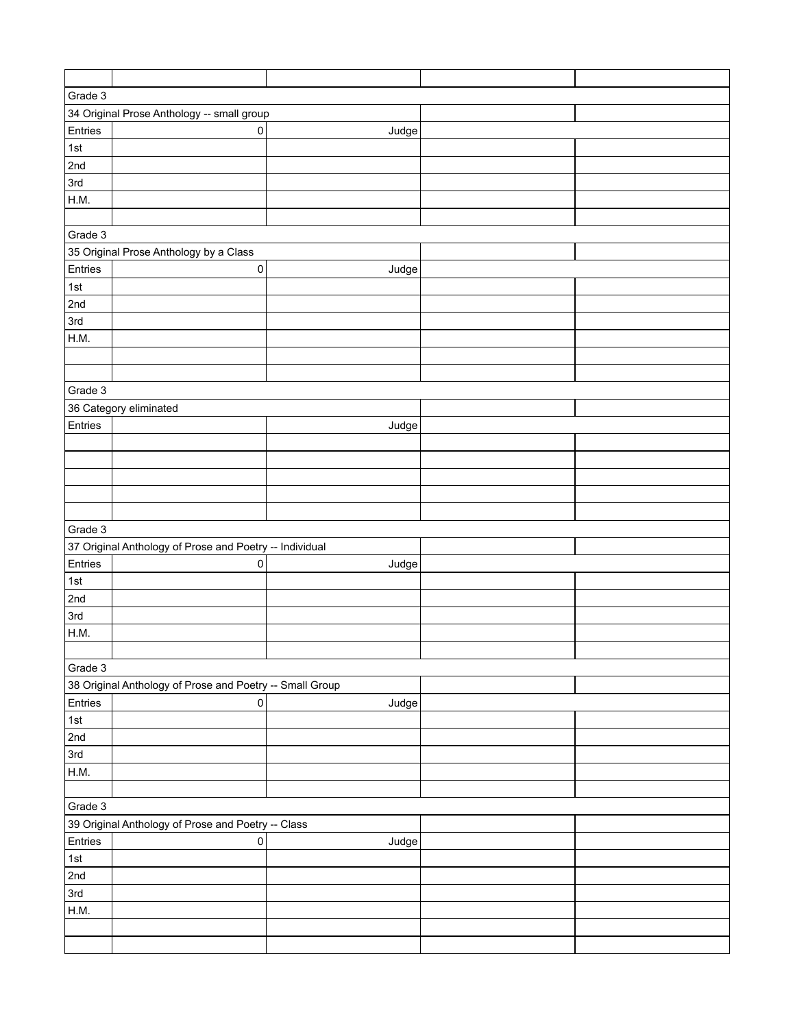| Grade 3 |                                                          |       |  |  |
|---------|----------------------------------------------------------|-------|--|--|
|         | 34 Original Prose Anthology -- small group               |       |  |  |
| Entries | 0                                                        | Judge |  |  |
| 1st     |                                                          |       |  |  |
| 2nd     |                                                          |       |  |  |
| 3rd     |                                                          |       |  |  |
| H.M.    |                                                          |       |  |  |
|         |                                                          |       |  |  |
| Grade 3 |                                                          |       |  |  |
|         |                                                          |       |  |  |
|         | 35 Original Prose Anthology by a Class                   |       |  |  |
| Entries | $\pmb{0}$                                                | Judge |  |  |
| 1st     |                                                          |       |  |  |
| 2nd     |                                                          |       |  |  |
| 3rd     |                                                          |       |  |  |
| H.M.    |                                                          |       |  |  |
|         |                                                          |       |  |  |
|         |                                                          |       |  |  |
| Grade 3 |                                                          |       |  |  |
|         | 36 Category eliminated                                   |       |  |  |
| Entries |                                                          | Judge |  |  |
|         |                                                          |       |  |  |
|         |                                                          |       |  |  |
|         |                                                          |       |  |  |
|         |                                                          |       |  |  |
|         |                                                          |       |  |  |
| Grade 3 |                                                          |       |  |  |
|         | 37 Original Anthology of Prose and Poetry -- Individual  |       |  |  |
| Entries | 0                                                        | Judge |  |  |
| 1st     |                                                          |       |  |  |
| 2nd     |                                                          |       |  |  |
| 3rd     |                                                          |       |  |  |
| H.M.    |                                                          |       |  |  |
|         |                                                          |       |  |  |
| Grade 3 |                                                          |       |  |  |
|         | 38 Original Anthology of Prose and Poetry -- Small Group |       |  |  |
| Entries | $\mathsf 0$                                              | Judge |  |  |
| 1st     |                                                          |       |  |  |
| 2nd     |                                                          |       |  |  |
| 3rd     |                                                          |       |  |  |
| H.M.    |                                                          |       |  |  |
|         |                                                          |       |  |  |
| Grade 3 |                                                          |       |  |  |
|         | 39 Original Anthology of Prose and Poetry -- Class       |       |  |  |
| Entries | $\pmb{0}$                                                | Judge |  |  |
| 1st     |                                                          |       |  |  |
|         |                                                          |       |  |  |
| 2nd     |                                                          |       |  |  |
| 3rd     |                                                          |       |  |  |
| H.M.    |                                                          |       |  |  |
|         |                                                          |       |  |  |
|         |                                                          |       |  |  |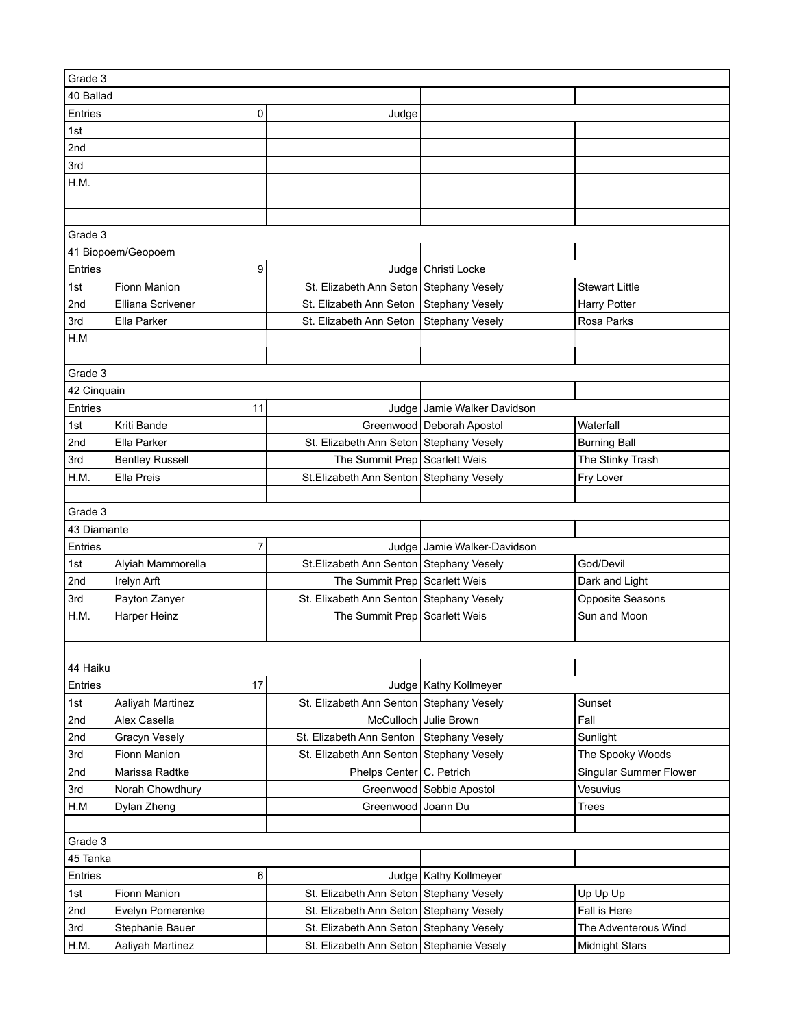| Grade 3     |                                  |                                          |                             |                        |
|-------------|----------------------------------|------------------------------------------|-----------------------------|------------------------|
| 40 Ballad   |                                  |                                          |                             |                        |
| Entries     | 0                                | Judge                                    |                             |                        |
| 1st         |                                  |                                          |                             |                        |
| 2nd         |                                  |                                          |                             |                        |
| 3rd         |                                  |                                          |                             |                        |
| H.M.        |                                  |                                          |                             |                        |
|             |                                  |                                          |                             |                        |
|             |                                  |                                          |                             |                        |
| Grade 3     |                                  |                                          |                             |                        |
|             | 41 Biopoem/Geopoem               |                                          |                             |                        |
| Entries     | 9                                |                                          | Judge Christi Locke         |                        |
| 1st         | Fionn Manion                     | St. Elizabeth Ann Seton Stephany Vesely  |                             | <b>Stewart Little</b>  |
| 2nd         | Elliana Scrivener                | St. Elizabeth Ann Seton                  | <b>Stephany Vesely</b>      | <b>Harry Potter</b>    |
| 3rd         | Ella Parker                      | St. Elizabeth Ann Seton                  | <b>Stephany Vesely</b>      | Rosa Parks             |
| H.M         |                                  |                                          |                             |                        |
|             |                                  |                                          |                             |                        |
| Grade 3     |                                  |                                          |                             |                        |
| 42 Cinquain |                                  |                                          |                             |                        |
| Entries     | 11                               |                                          | Judge Jamie Walker Davidson |                        |
| 1st         | Kriti Bande                      |                                          | Greenwood Deborah Apostol   | Waterfall              |
| 2nd         | Ella Parker                      | St. Elizabeth Ann Seton Stephany Vesely  |                             | <b>Burning Ball</b>    |
| 3rd         | <b>Bentley Russell</b>           | The Summit Prep Scarlett Weis            |                             | The Stinky Trash       |
| H.M.        | Ella Preis                       | St.Elizabeth Ann Senton Stephany Vesely  |                             | Fry Lover              |
|             |                                  |                                          |                             |                        |
| Grade 3     |                                  |                                          |                             |                        |
| 43 Diamante |                                  |                                          |                             |                        |
| Entries     | $\overline{7}$                   |                                          | Judge Jamie Walker-Davidson |                        |
| 1st         | Alyiah Mammorella                | St.Elizabeth Ann Senton Stephany Vesely  |                             | God/Devil              |
| 2nd         | Irelyn Arft                      | The Summit Prep Scarlett Weis            |                             | Dark and Light         |
| 3rd         | Payton Zanyer                    | St. Elixabeth Ann Senton Stephany Vesely |                             | Opposite Seasons       |
| H.M.        | Harper Heinz                     | The Summit Prep Scarlett Weis            |                             | Sun and Moon           |
|             |                                  |                                          |                             |                        |
|             |                                  |                                          |                             |                        |
| 44 Haiku    |                                  |                                          |                             |                        |
| Entries     | 17                               |                                          | Judge   Kathy Kollmeyer     |                        |
| 1st         |                                  | St. Elizabeth Ann Senton Stephany Vesely |                             | Sunset                 |
| 2nd         | Aaliyah Martinez<br>Alex Casella |                                          | McCulloch Julie Brown       | Fall                   |
| 2nd         | <b>Gracyn Vesely</b>             | St. Elizabeth Ann Senton Stephany Vesely |                             | Sunlight               |
| 3rd         | Fionn Manion                     | St. Elizabeth Ann Senton Stephany Vesely |                             | The Spooky Woods       |
| 2nd         | Marissa Radtke                   | Phelps Center   C. Petrich               |                             | Singular Summer Flower |
| 3rd         | Norah Chowdhury                  |                                          | Greenwood Sebbie Apostol    | Vesuvius               |
| H.M         | Dylan Zheng                      | Greenwood                                | Joann Du                    | <b>Trees</b>           |
|             |                                  |                                          |                             |                        |
|             |                                  |                                          |                             |                        |
| Grade 3     |                                  |                                          |                             |                        |
| 45 Tanka    |                                  |                                          |                             |                        |
| Entries     | 6                                |                                          | Judge   Kathy Kollmeyer     |                        |
| 1st         | Fionn Manion                     | St. Elizabeth Ann Seton Stephany Vesely  |                             | Up Up Up               |
| 2nd         | Evelyn Pomerenke                 | St. Elizabeth Ann Seton Stephany Vesely  |                             | Fall is Here           |
| 3rd         | Stephanie Bauer                  | St. Elizabeth Ann Seton Stephany Vesely  |                             | The Adventerous Wind   |
| H.M.        | Aaliyah Martinez                 | St. Elizabeth Ann Seton Stephanie Vesely |                             | <b>Midnight Stars</b>  |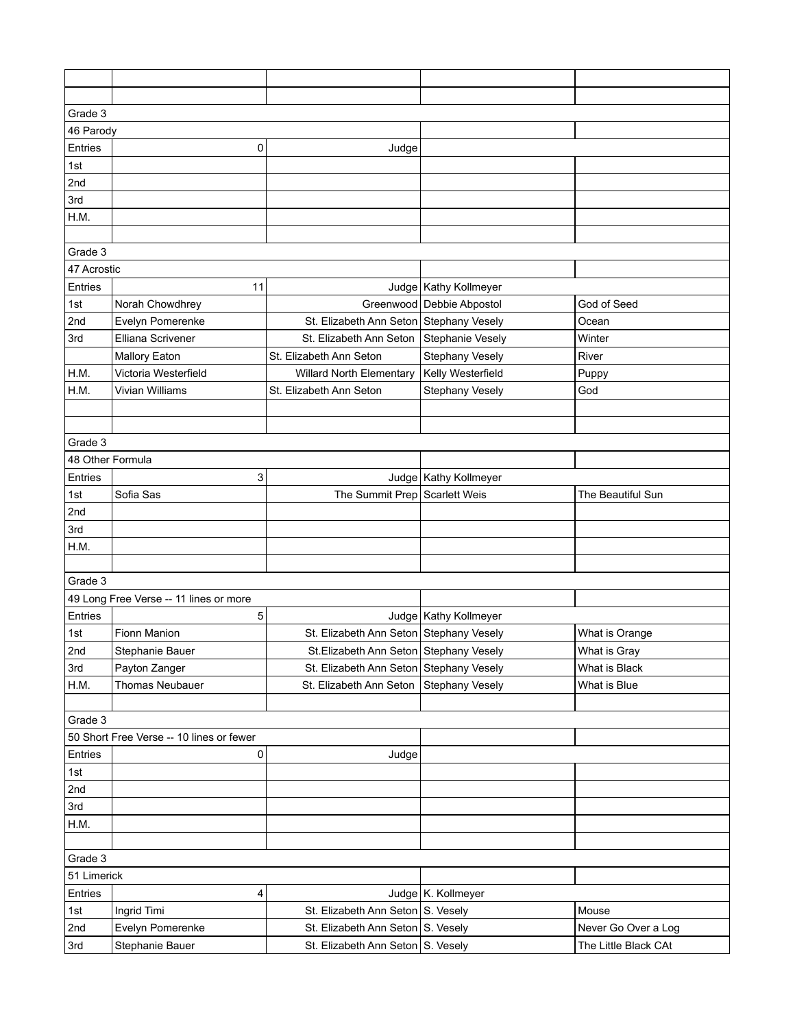| Grade 3          |                                          |                                                                                    |                           |                      |  |
|------------------|------------------------------------------|------------------------------------------------------------------------------------|---------------------------|----------------------|--|
| 46 Parody        |                                          |                                                                                    |                           |                      |  |
| Entries          | 0                                        | Judge                                                                              |                           |                      |  |
| 1st              |                                          |                                                                                    |                           |                      |  |
| 2nd              |                                          |                                                                                    |                           |                      |  |
| 3rd              |                                          |                                                                                    |                           |                      |  |
| H.M.             |                                          |                                                                                    |                           |                      |  |
|                  |                                          |                                                                                    |                           |                      |  |
| Grade 3          |                                          |                                                                                    |                           |                      |  |
| 47 Acrostic      |                                          |                                                                                    |                           |                      |  |
| Entries          | 11                                       |                                                                                    | Judge   Kathy Kollmeyer   |                      |  |
| 1st              | Norah Chowdhrey                          |                                                                                    | Greenwood Debbie Abpostol | God of Seed          |  |
| 2nd              | Evelyn Pomerenke                         | St. Elizabeth Ann Seton Stephany Vesely                                            |                           | Ocean                |  |
| 3rd              | Elliana Scrivener                        | St. Elizabeth Ann Seton                                                            | Stephanie Vesely          | Winter               |  |
|                  | <b>Mallory Eaton</b>                     | St. Elizabeth Ann Seton                                                            | <b>Stephany Vesely</b>    | River                |  |
| H.M.             | Victoria Westerfield                     | <b>Willard North Elementary</b>                                                    | Kelly Westerfield         | Puppy                |  |
| H.M.             | Vivian Williams                          | St. Elizabeth Ann Seton                                                            | <b>Stephany Vesely</b>    | God                  |  |
|                  |                                          |                                                                                    |                           |                      |  |
|                  |                                          |                                                                                    |                           |                      |  |
| Grade 3          |                                          |                                                                                    |                           |                      |  |
| 48 Other Formula |                                          |                                                                                    |                           |                      |  |
| Entries          | 3                                        |                                                                                    | Judge   Kathy Kollmeyer   |                      |  |
| 1st              | Sofia Sas                                | The Summit Prep Scarlett Weis                                                      |                           | The Beautiful Sun    |  |
| 2nd              |                                          |                                                                                    |                           |                      |  |
| 3rd              |                                          |                                                                                    |                           |                      |  |
| H.M.             |                                          |                                                                                    |                           |                      |  |
|                  |                                          |                                                                                    |                           |                      |  |
| Grade 3          |                                          |                                                                                    |                           |                      |  |
|                  | 49 Long Free Verse -- 11 lines or more   |                                                                                    |                           |                      |  |
| Entries          | 5<br>Fionn Manion                        | St. Elizabeth Ann Seton Stephany Vesely                                            | Judge   Kathy Kollmeyer   |                      |  |
| 1st<br>2nd       |                                          |                                                                                    |                           | What is Orange       |  |
| 3rd              | Stephanie Bauer                          | St. Elizabeth Ann Seton Stephany Vesely<br>St. Elizabeth Ann Seton Stephany Vesely |                           | What is Gray         |  |
| H.M.             | Payton Zanger                            | St. Elizabeth Ann Seton Stephany Vesely                                            |                           | What is Black        |  |
|                  | Thomas Neubauer                          |                                                                                    |                           | What is Blue         |  |
| Grade 3          |                                          |                                                                                    |                           |                      |  |
|                  | 50 Short Free Verse -- 10 lines or fewer |                                                                                    |                           |                      |  |
| Entries          | 0                                        | Judge                                                                              |                           |                      |  |
| 1st              |                                          |                                                                                    |                           |                      |  |
| 2nd              |                                          |                                                                                    |                           |                      |  |
| 3rd              |                                          |                                                                                    |                           |                      |  |
| H.M.             |                                          |                                                                                    |                           |                      |  |
|                  |                                          |                                                                                    |                           |                      |  |
| Grade 3          |                                          |                                                                                    |                           |                      |  |
|                  | 51 Limerick                              |                                                                                    |                           |                      |  |
| Entries          | 4                                        |                                                                                    | Judge   K. Kollmeyer      |                      |  |
| 1st              | Ingrid Timi                              | St. Elizabeth Ann Seton S. Vesely                                                  |                           | Mouse                |  |
| 2nd              | Evelyn Pomerenke                         | St. Elizabeth Ann Seton S. Vesely                                                  |                           | Never Go Over a Log  |  |
| 3rd              | Stephanie Bauer                          | St. Elizabeth Ann Seton S. Vesely                                                  |                           | The Little Black CAt |  |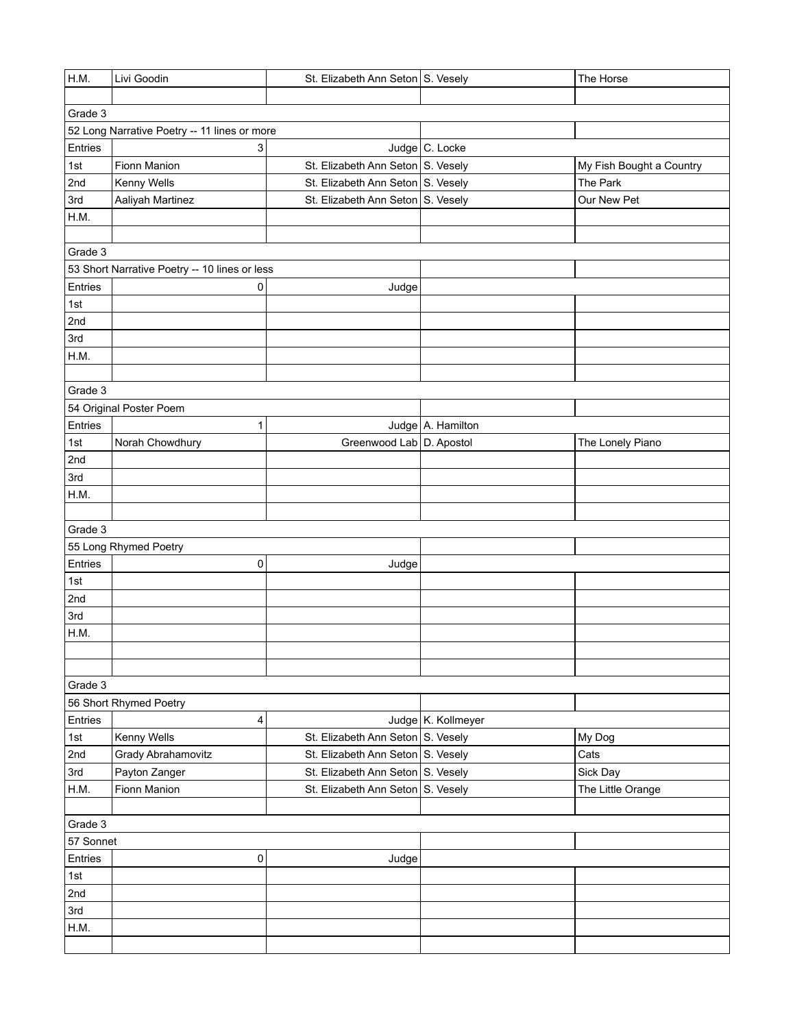| H.M.      | Livi Goodin                                   | St. Elizabeth Ann Seton S. Vesely |                    | The Horse                |
|-----------|-----------------------------------------------|-----------------------------------|--------------------|--------------------------|
|           |                                               |                                   |                    |                          |
| Grade 3   |                                               |                                   |                    |                          |
|           | 52 Long Narrative Poetry -- 11 lines or more  |                                   |                    |                          |
| Entries   | 3                                             |                                   | Judge C. Locke     |                          |
| 1st       | Fionn Manion                                  | St. Elizabeth Ann Seton S. Vesely |                    | My Fish Bought a Country |
| 2nd       | Kenny Wells                                   | St. Elizabeth Ann Seton S. Vesely |                    | The Park                 |
| 3rd       | Aaliyah Martinez                              | St. Elizabeth Ann Seton S. Vesely |                    | Our New Pet              |
| H.M.      |                                               |                                   |                    |                          |
|           |                                               |                                   |                    |                          |
| Grade 3   |                                               |                                   |                    |                          |
|           | 53 Short Narrative Poetry -- 10 lines or less |                                   |                    |                          |
| Entries   | 0                                             | Judge                             |                    |                          |
| 1st       |                                               |                                   |                    |                          |
| 2nd       |                                               |                                   |                    |                          |
| 3rd       |                                               |                                   |                    |                          |
| H.M.      |                                               |                                   |                    |                          |
|           |                                               |                                   |                    |                          |
| Grade 3   |                                               |                                   |                    |                          |
|           | 54 Original Poster Poem                       |                                   |                    |                          |
| Entries   | 1                                             |                                   | Judge A. Hamilton  |                          |
| 1st       | Norah Chowdhury                               | Greenwood Lab   D. Apostol        |                    | The Lonely Piano         |
| 2nd       |                                               |                                   |                    |                          |
| 3rd       |                                               |                                   |                    |                          |
| H.M.      |                                               |                                   |                    |                          |
| Grade 3   |                                               |                                   |                    |                          |
|           | 55 Long Rhymed Poetry                         |                                   |                    |                          |
| Entries   | 0                                             | Judge                             |                    |                          |
| 1st       |                                               |                                   |                    |                          |
| 2nd       |                                               |                                   |                    |                          |
| 3rd       |                                               |                                   |                    |                          |
| H.M.      |                                               |                                   |                    |                          |
|           |                                               |                                   |                    |                          |
|           |                                               |                                   |                    |                          |
| Grade 3   |                                               |                                   |                    |                          |
|           | 56 Short Rhymed Poetry                        |                                   |                    |                          |
| Entries   | $\overline{\mathbf{4}}$                       |                                   | Judge K. Kollmeyer |                          |
| 1st       | Kenny Wells                                   | St. Elizabeth Ann Seton S. Vesely |                    | My Dog                   |
| 2nd       | Grady Abrahamovitz                            | St. Elizabeth Ann Seton S. Vesely |                    | Cats                     |
| 3rd       | Payton Zanger                                 | St. Elizabeth Ann Seton S. Vesely |                    | Sick Day                 |
| H.M.      | Fionn Manion                                  | St. Elizabeth Ann Seton S. Vesely |                    | The Little Orange        |
|           |                                               |                                   |                    |                          |
| Grade 3   |                                               |                                   |                    |                          |
| 57 Sonnet |                                               |                                   |                    |                          |
| Entries   | $\mathsf 0$                                   | Judge                             |                    |                          |
| 1st       |                                               |                                   |                    |                          |
| 2nd       |                                               |                                   |                    |                          |
| 3rd       |                                               |                                   |                    |                          |
| H.M.      |                                               |                                   |                    |                          |
|           |                                               |                                   |                    |                          |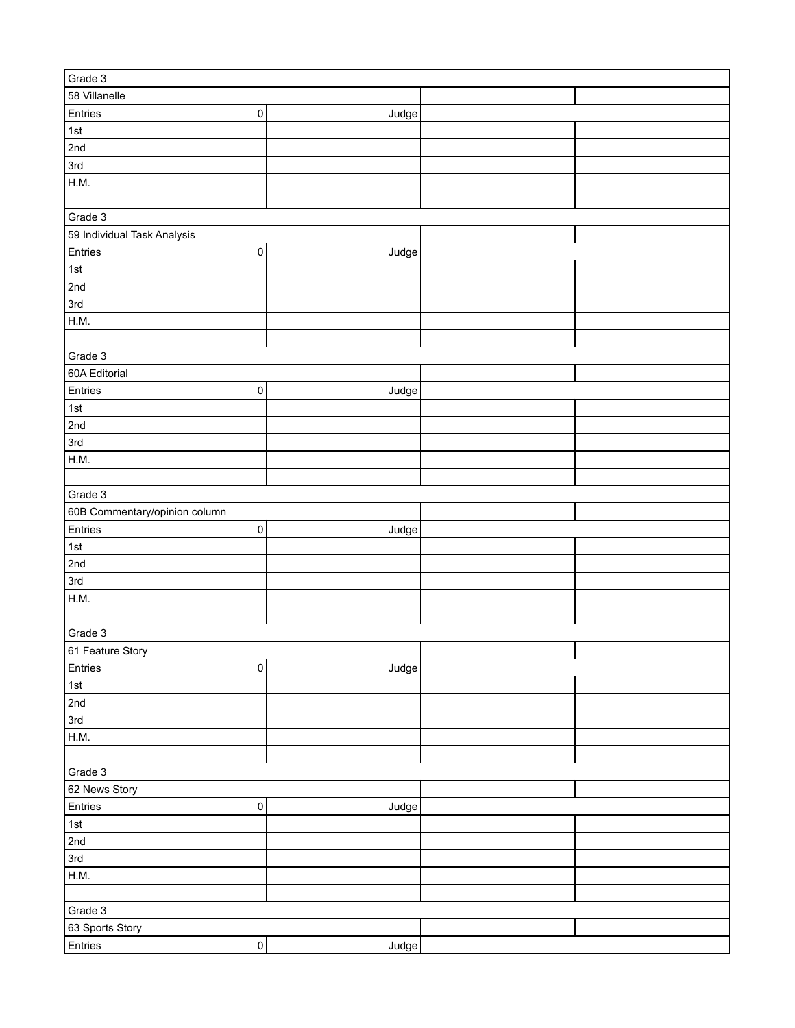| Grade 3          |                               |       |  |  |  |
|------------------|-------------------------------|-------|--|--|--|
| 58 Villanelle    |                               |       |  |  |  |
| Entries          | $\pmb{0}$                     | Judge |  |  |  |
| ∣1st             |                               |       |  |  |  |
| 2nd              |                               |       |  |  |  |
| 3rd              |                               |       |  |  |  |
| H.M.             |                               |       |  |  |  |
|                  |                               |       |  |  |  |
| Grade 3          |                               |       |  |  |  |
|                  | 59 Individual Task Analysis   |       |  |  |  |
| Entries          | $\pmb{0}$                     | Judge |  |  |  |
| 1st              |                               |       |  |  |  |
| 2nd              |                               |       |  |  |  |
| 3rd              |                               |       |  |  |  |
| H.M.             |                               |       |  |  |  |
|                  |                               |       |  |  |  |
|                  |                               |       |  |  |  |
| Grade 3          |                               |       |  |  |  |
| 60A Editorial    |                               |       |  |  |  |
| Entries          | 0                             | Judge |  |  |  |
| 1st              |                               |       |  |  |  |
| 2nd              |                               |       |  |  |  |
| 3rd              |                               |       |  |  |  |
| H.M.             |                               |       |  |  |  |
|                  |                               |       |  |  |  |
| Grade 3          |                               |       |  |  |  |
|                  | 60B Commentary/opinion column |       |  |  |  |
| Entries          | $\pmb{0}$                     | Judge |  |  |  |
| 1st              |                               |       |  |  |  |
| 2nd              |                               |       |  |  |  |
| 3rd              |                               |       |  |  |  |
| H.M.             |                               |       |  |  |  |
|                  |                               |       |  |  |  |
| Grade 3          |                               |       |  |  |  |
| 61 Feature Story |                               |       |  |  |  |
| Entries          | $\mathsf{O}\xspace$           | Judge |  |  |  |
| $\vert$ 1st      |                               |       |  |  |  |
| 2nd              |                               |       |  |  |  |
| 3rd              |                               |       |  |  |  |
|                  |                               |       |  |  |  |
| H.M.             |                               |       |  |  |  |
|                  |                               |       |  |  |  |
| Grade 3          |                               |       |  |  |  |
| 62 News Story    |                               |       |  |  |  |
| Entries          | $\pmb{0}$                     | Judge |  |  |  |
| $\vert$ 1st      |                               |       |  |  |  |
| 2nd              |                               |       |  |  |  |
| 3rd              |                               |       |  |  |  |
| H.M.             |                               |       |  |  |  |
|                  |                               |       |  |  |  |
| Grade 3          |                               |       |  |  |  |
| 63 Sports Story  |                               |       |  |  |  |
| Entries          | $\overline{0}$                | Judge |  |  |  |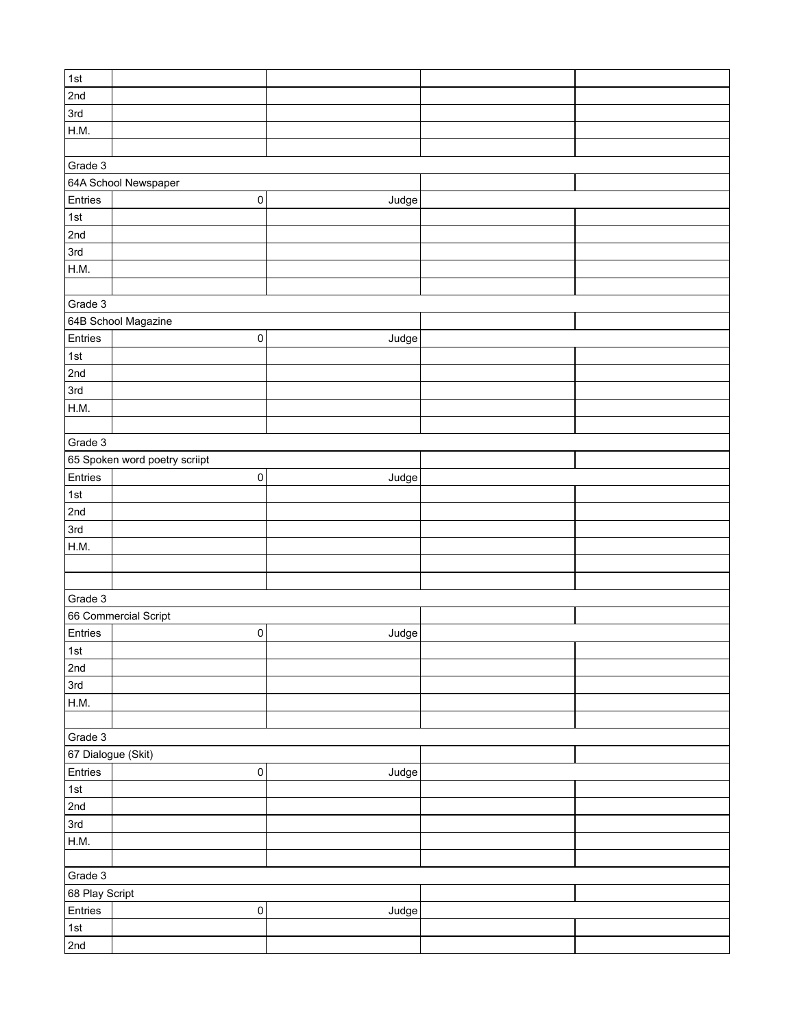| $\vert$ 1st        |                               |       |  |  |  |
|--------------------|-------------------------------|-------|--|--|--|
| 2nd                |                               |       |  |  |  |
| 3rd                |                               |       |  |  |  |
| H.M.               |                               |       |  |  |  |
|                    |                               |       |  |  |  |
| Grade 3            |                               |       |  |  |  |
|                    | 64A School Newspaper          |       |  |  |  |
| Entries            | $\pmb{0}$                     | Judge |  |  |  |
| $\vert$ 1st        |                               |       |  |  |  |
| 2nd                |                               |       |  |  |  |
| 3rd                |                               |       |  |  |  |
| H.M.               |                               |       |  |  |  |
|                    |                               |       |  |  |  |
| Grade 3            |                               |       |  |  |  |
|                    | 64B School Magazine           |       |  |  |  |
| Entries            | $\pmb{0}$                     | Judge |  |  |  |
| $\vert$ 1st        |                               |       |  |  |  |
| 2nd                |                               |       |  |  |  |
| 3rd                |                               |       |  |  |  |
| H.M.               |                               |       |  |  |  |
|                    |                               |       |  |  |  |
| Grade 3            |                               |       |  |  |  |
|                    |                               |       |  |  |  |
|                    | 65 Spoken word poetry scriipt |       |  |  |  |
| Entries            | $\pmb{0}$                     | Judge |  |  |  |
| $\vert$ 1st        |                               |       |  |  |  |
| 2nd                |                               |       |  |  |  |
| 3rd                |                               |       |  |  |  |
| H.M.               |                               |       |  |  |  |
|                    |                               |       |  |  |  |
|                    |                               |       |  |  |  |
| Grade 3            |                               |       |  |  |  |
|                    | 66 Commercial Script          |       |  |  |  |
| Entries            | $\pmb{0}$                     | Judge |  |  |  |
| 1st                |                               |       |  |  |  |
| 2nd                |                               |       |  |  |  |
| 3rd                |                               |       |  |  |  |
| H.M.               |                               |       |  |  |  |
|                    |                               |       |  |  |  |
| Grade 3            |                               |       |  |  |  |
| 67 Dialogue (Skit) |                               |       |  |  |  |
| Entries            | $\pmb{0}$                     | Judge |  |  |  |
| 1st                |                               |       |  |  |  |
| 2nd                |                               |       |  |  |  |
| 3rd                |                               |       |  |  |  |
| H.M.               |                               |       |  |  |  |
|                    |                               |       |  |  |  |
| Grade 3            |                               |       |  |  |  |
| 68 Play Script     |                               |       |  |  |  |
| Entries            | $\pmb{0}$                     | Judge |  |  |  |
| 1st                |                               |       |  |  |  |
| 2nd                |                               |       |  |  |  |
|                    |                               |       |  |  |  |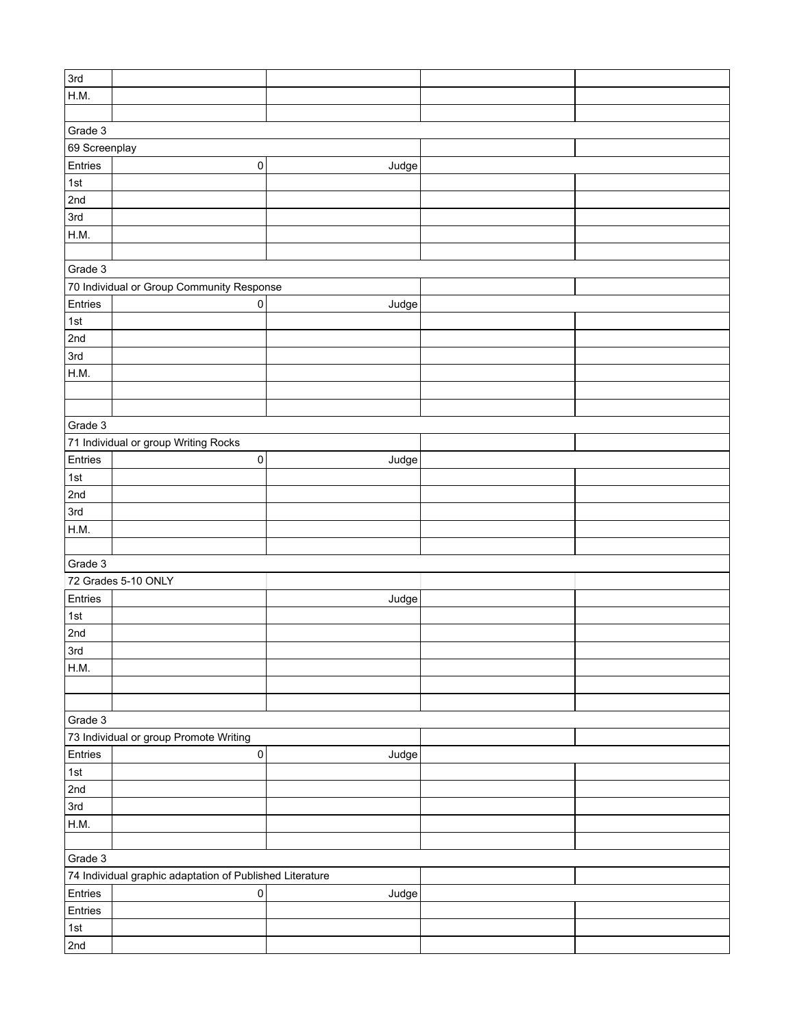| 3rd                                       |                                                          |       |  |  |  |  |  |
|-------------------------------------------|----------------------------------------------------------|-------|--|--|--|--|--|
|                                           |                                                          |       |  |  |  |  |  |
| H.M.                                      |                                                          |       |  |  |  |  |  |
|                                           |                                                          |       |  |  |  |  |  |
| Grade 3                                   |                                                          |       |  |  |  |  |  |
| 69 Screenplay                             |                                                          |       |  |  |  |  |  |
| Entries                                   | $\pmb{0}$                                                | Judge |  |  |  |  |  |
| 1st                                       |                                                          |       |  |  |  |  |  |
| 2nd                                       |                                                          |       |  |  |  |  |  |
|                                           |                                                          |       |  |  |  |  |  |
| 3rd                                       |                                                          |       |  |  |  |  |  |
| H.M.                                      |                                                          |       |  |  |  |  |  |
|                                           |                                                          |       |  |  |  |  |  |
| Grade 3                                   |                                                          |       |  |  |  |  |  |
| 70 Individual or Group Community Response |                                                          |       |  |  |  |  |  |
| Entries                                   | 0                                                        | Judge |  |  |  |  |  |
| 1st                                       |                                                          |       |  |  |  |  |  |
|                                           |                                                          |       |  |  |  |  |  |
| 2nd                                       |                                                          |       |  |  |  |  |  |
| 3rd                                       |                                                          |       |  |  |  |  |  |
| H.M.                                      |                                                          |       |  |  |  |  |  |
|                                           |                                                          |       |  |  |  |  |  |
|                                           |                                                          |       |  |  |  |  |  |
| Grade 3                                   |                                                          |       |  |  |  |  |  |
|                                           | 71 Individual or group Writing Rocks                     |       |  |  |  |  |  |
|                                           |                                                          |       |  |  |  |  |  |
| Entries                                   | $\pmb{0}$                                                | Judge |  |  |  |  |  |
| 1st                                       |                                                          |       |  |  |  |  |  |
| 2nd                                       |                                                          |       |  |  |  |  |  |
| 3rd                                       |                                                          |       |  |  |  |  |  |
| H.M.                                      |                                                          |       |  |  |  |  |  |
|                                           |                                                          |       |  |  |  |  |  |
| Grade 3                                   |                                                          |       |  |  |  |  |  |
|                                           | 72 Grades 5-10 ONLY                                      |       |  |  |  |  |  |
|                                           |                                                          |       |  |  |  |  |  |
| Entries                                   |                                                          | Judge |  |  |  |  |  |
| 1st                                       |                                                          |       |  |  |  |  |  |
| 2nd                                       |                                                          |       |  |  |  |  |  |
| 3rd                                       |                                                          |       |  |  |  |  |  |
| H.M.                                      |                                                          |       |  |  |  |  |  |
|                                           |                                                          |       |  |  |  |  |  |
|                                           |                                                          |       |  |  |  |  |  |
|                                           |                                                          |       |  |  |  |  |  |
| Grade 3                                   |                                                          |       |  |  |  |  |  |
|                                           | 73 Individual or group Promote Writing                   |       |  |  |  |  |  |
| Entries                                   | $\overline{0}$                                           | Judge |  |  |  |  |  |
| 1st                                       |                                                          |       |  |  |  |  |  |
| 2nd                                       |                                                          |       |  |  |  |  |  |
| 3rd                                       |                                                          |       |  |  |  |  |  |
| H.M.                                      |                                                          |       |  |  |  |  |  |
|                                           |                                                          |       |  |  |  |  |  |
|                                           |                                                          |       |  |  |  |  |  |
| Grade 3                                   |                                                          |       |  |  |  |  |  |
|                                           | 74 Individual graphic adaptation of Published Literature |       |  |  |  |  |  |
| Entries                                   | 0                                                        | Judge |  |  |  |  |  |
| Entries                                   |                                                          |       |  |  |  |  |  |
| 1st                                       |                                                          |       |  |  |  |  |  |
| 2nd                                       |                                                          |       |  |  |  |  |  |
|                                           |                                                          |       |  |  |  |  |  |